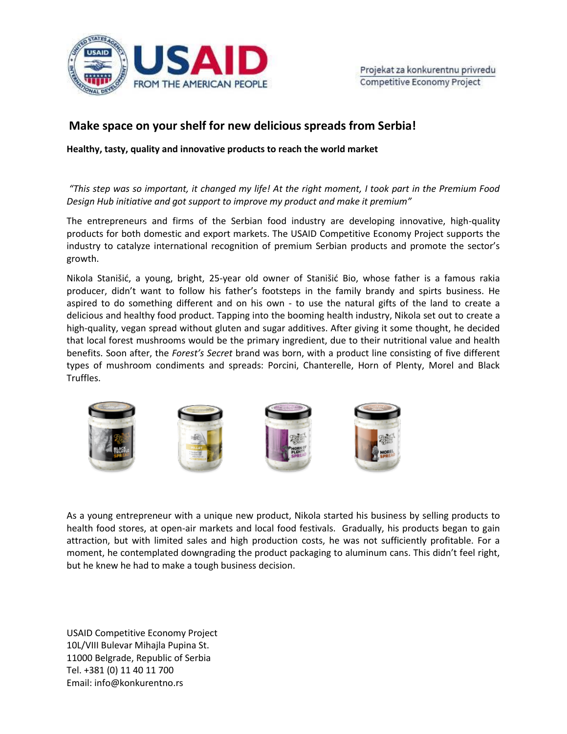

## **Make space on your shelf for new delicious spreads from Serbia!**

**Healthy, tasty, quality and innovative products to reach the world market**

*"This step was so important, it changed my life! At the right moment, I took part in the Premium Food Design Hub initiative and got support to improve my product and make it premium"*

The entrepreneurs and firms of the Serbian food industry are developing innovative, high-quality products for both domestic and export markets. The USAID Competitive Economy Project supports the industry to catalyze international recognition of premium Serbian products and promote the sector's growth.

Nikola Stanišić, a young, bright, 25-year old owner of Stanišić Bio, whose father is a famous rakia producer, didn't want to follow his father's footsteps in the family brandy and spirts business. He aspired to do something different and on his own - to use the natural gifts of the land to create a delicious and healthy food product. Tapping into the booming health industry, Nikola set out to create a high-quality, vegan spread without gluten and sugar additives. After giving it some thought, he decided that local forest mushrooms would be the primary ingredient, due to their nutritional value and health benefits. Soon after, the *Forest's Secret* brand was born, with a product line consisting of five different types of mushroom condiments and spreads: Porcini, Chanterelle, Horn of Plenty, Morel and Black Truffles.



As a young entrepreneur with a unique new product, Nikola started his business by selling products to health food stores, at open-air markets and local food festivals. Gradually, his products began to gain attraction, but with limited sales and high production costs, he was not sufficiently profitable. For a moment, he contemplated downgrading the product packaging to aluminum cans. This didn't feel right, but he knew he had to make a tough business decision.

USAID Competitive Economy Project 10L/VIII Bulevar Mihajla Pupina St. 11000 Belgrade, Republic of Serbia Tel. +381 (0) 11 40 11 700 Email: info@konkurentno.rs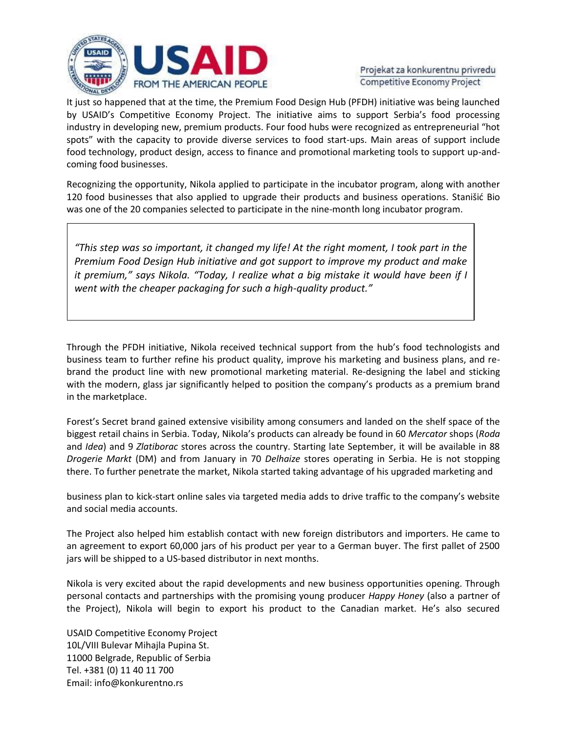

Projekat za konkurentnu privredu Competitive Economy Project

It just so happened that at the time, the Premium Food Design Hub (PFDH) initiative was being launched by USAID's Competitive Economy Project. The initiative aims to support Serbia's food processing industry in developing new, premium products. Four food hubs were recognized as entrepreneurial "hot spots" with the capacity to provide diverse services to food start-ups. Main areas of support include food technology, product design, access to finance and promotional marketing tools to support up-andcoming food businesses.

Recognizing the opportunity, Nikola applied to participate in the incubator program, along with another 120 food businesses that also applied to upgrade their products and business operations. Stanišić Bio was one of the 20 companies selected to participate in the nine-month long incubator program.

*"This step was so important, it changed my life! At the right moment, I took part in the Premium Food Design Hub initiative and got support to improve my product and make it premium," says Nikola. "Today, I realize what a big mistake it would have been if I went with the cheaper packaging for such a high-quality product."* 

Through the PFDH initiative, Nikola received technical support from the hub's food technologists and business team to further refine his product quality, improve his marketing and business plans, and rebrand the product line with new promotional marketing material. Re-designing the label and sticking with the modern, glass jar significantly helped to position the company's products as a premium brand in the marketplace.

Forest's Secret brand gained extensive visibility among consumers and landed on the shelf space of the biggest retail chains in Serbia. Today, Nikola's products can already be found in 60 *Mercator* shops (*Roda* and *Idea*) and 9 *Zlatiborac* stores across the country. Starting late September, it will be available in 88 *Drogerie Markt* (DM) and from January in 70 *Delhaize* stores operating in Serbia. He is not stopping there. To further penetrate the market, Nikola started taking advantage of his upgraded marketing and

business plan to kick-start online sales via targeted media adds to drive traffic to the company's website and social media accounts.

The Project also helped him establish contact with new foreign distributors and importers. He came to an agreement to export 60,000 jars of his product per year to a German buyer. The first pallet of 2500 jars will be shipped to a US-based distributor in next months.

Nikola is very excited about the rapid developments and new business opportunities opening. Through personal contacts and partnerships with the promising young producer *Happy Honey* (also a partner of the Project), Nikola will begin to export his product to the Canadian market. He's also secured

USAID Competitive Economy Project 10L/VIII Bulevar Mihajla Pupina St. 11000 Belgrade, Republic of Serbia Tel. +381 (0) 11 40 11 700 Email: info@konkurentno.rs